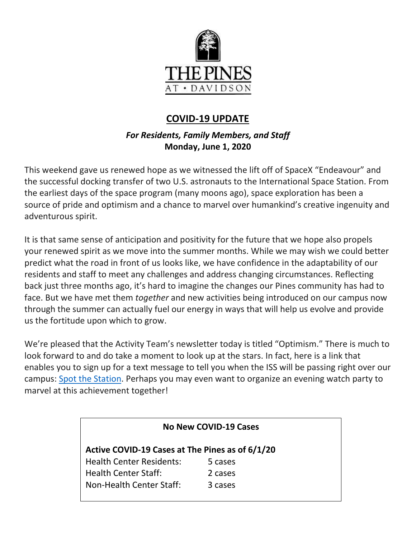

# **COVID-19 UPDATE**

# *For Residents, Family Members, and Staff* **Monday, June 1, 2020**

This weekend gave us renewed hope as we witnessed the lift off of SpaceX "Endeavour" and the successful docking transfer of two U.S. astronauts to the International Space Station. From the earliest days of the space program (many moons ago), space exploration has been a source of pride and optimism and a chance to marvel over humankind's creative ingenuity and adventurous spirit.

It is that same sense of anticipation and positivity for the future that we hope also propels your renewed spirit as we move into the summer months. While we may wish we could better predict what the road in front of us looks like, we have confidence in the adaptability of our residents and staff to meet any challenges and address changing circumstances. Reflecting back just three months ago, it's hard to imagine the changes our Pines community has had to face. But we have met them *together* and new activities being introduced on our campus now through the summer can actually fuel our energy in ways that will help us evolve and provide us the fortitude upon which to grow.

We're pleased that the Activity Team's newsletter today is titled "Optimism." There is much to look forward to and do take a moment to look up at the stars. In fact, here is a link that enables you to sign up for a text message to tell you when the ISS will be passing right over our campus: [Spot the Station.](https://spotthestation.nasa.gov/signup.cfm) Perhaps you may even want to organize an evening watch party to marvel at this achievement together!

| <b>No New COVID-19 Cases</b><br>Active COVID-19 Cases at The Pines as of 6/1/20 |         |  |
|---------------------------------------------------------------------------------|---------|--|
|                                                                                 |         |  |
| <b>Health Center Staff:</b>                                                     | 2 cases |  |
| Non-Health Center Staff:                                                        | 3 cases |  |